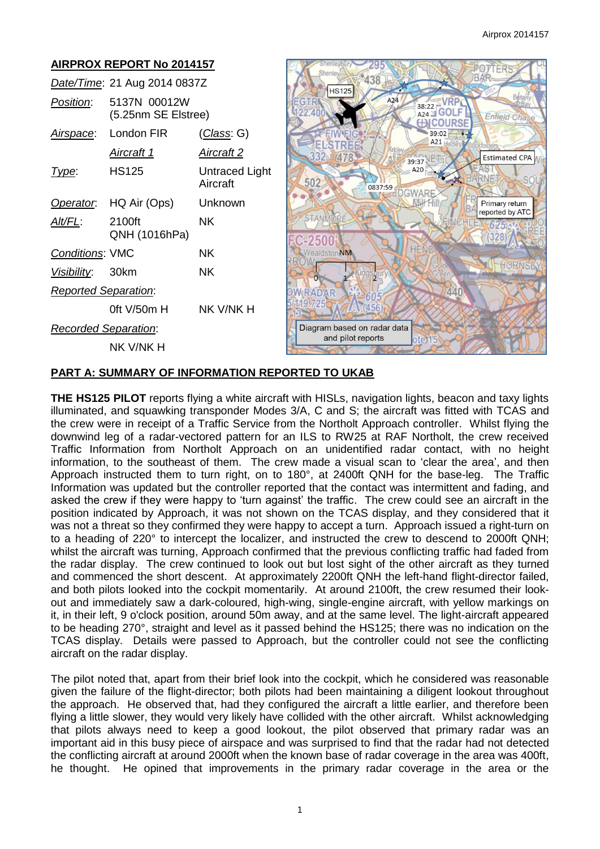#### **AIRPROX REPORT No 2014157** TFR: a **IRAR** 438 *Date/Time*: 21 Aug 2014 0837Z **HS125**  $\Delta$ 22 *Position*: 5137N 00012W ≡VRP  $38:22$ 38:22 GOLF (5.25nm SE Elstree) Enfield Cha **ENCOURSE** *Airspace*: London FIR (*Class*: G)  $39:02 -$ A<sub>21</sub> ELSTRE *Aircraft 1 Aircraft 2* 332 478 **Estimated CPA** 39:37 *Type*: HS125 Untraced Light A20 502 Aircraft 0837:59 **CWARE** *Operator*: HQ Air (Ops) Unknown Mill F Primary return reported by ATC *Alt/FL*: 2100ft NK QNH (1016hPa) -2500 **Conditions: VMC NK** ealdston NM HOR. *Visibility*: 30km NK *Reported Separation*: **ADAR** 440 0ft V/50m H NK V/NK H  $456$ *Recorded Separation*: Diagram based on radar data and pilot reports NK V/NK H

## **PART A: SUMMARY OF INFORMATION REPORTED TO UKAB**

**THE HS125 PILOT** reports flying a white aircraft with HISLs, navigation lights, beacon and taxy lights illuminated, and squawking transponder Modes 3/A, C and S; the aircraft was fitted with TCAS and the crew were in receipt of a Traffic Service from the Northolt Approach controller. Whilst flying the downwind leg of a radar-vectored pattern for an ILS to RW25 at RAF Northolt, the crew received Traffic Information from Northolt Approach on an unidentified radar contact, with no height information, to the southeast of them. The crew made a visual scan to 'clear the area', and then Approach instructed them to turn right, on to 180°, at 2400ft QNH for the base-leg. The Traffic Information was updated but the controller reported that the contact was intermittent and fading, and asked the crew if they were happy to 'turn against' the traffic. The crew could see an aircraft in the position indicated by Approach, it was not shown on the TCAS display, and they considered that it was not a threat so they confirmed they were happy to accept a turn. Approach issued a right-turn on to a heading of 220° to intercept the localizer, and instructed the crew to descend to 2000ft QNH; whilst the aircraft was turning, Approach confirmed that the previous conflicting traffic had faded from the radar display. The crew continued to look out but lost sight of the other aircraft as they turned and commenced the short descent. At approximately 2200ft QNH the left-hand flight-director failed, and both pilots looked into the cockpit momentarily. At around 2100ft, the crew resumed their lookout and immediately saw a dark-coloured, high-wing, single-engine aircraft, with yellow markings on it, in their left, 9 o'clock position, around 50m away, and at the same level. The light-aircraft appeared to be heading 270°, straight and level as it passed behind the HS125; there was no indication on the TCAS display. Details were passed to Approach, but the controller could not see the conflicting aircraft on the radar display.

The pilot noted that, apart from their brief look into the cockpit, which he considered was reasonable given the failure of the flight-director; both pilots had been maintaining a diligent lookout throughout the approach. He observed that, had they configured the aircraft a little earlier, and therefore been flying a little slower, they would very likely have collided with the other aircraft. Whilst acknowledging that pilots always need to keep a good lookout, the pilot observed that primary radar was an important aid in this busy piece of airspace and was surprised to find that the radar had not detected the conflicting aircraft at around 2000ft when the known base of radar coverage in the area was 400ft, he thought. He opined that improvements in the primary radar coverage in the area or the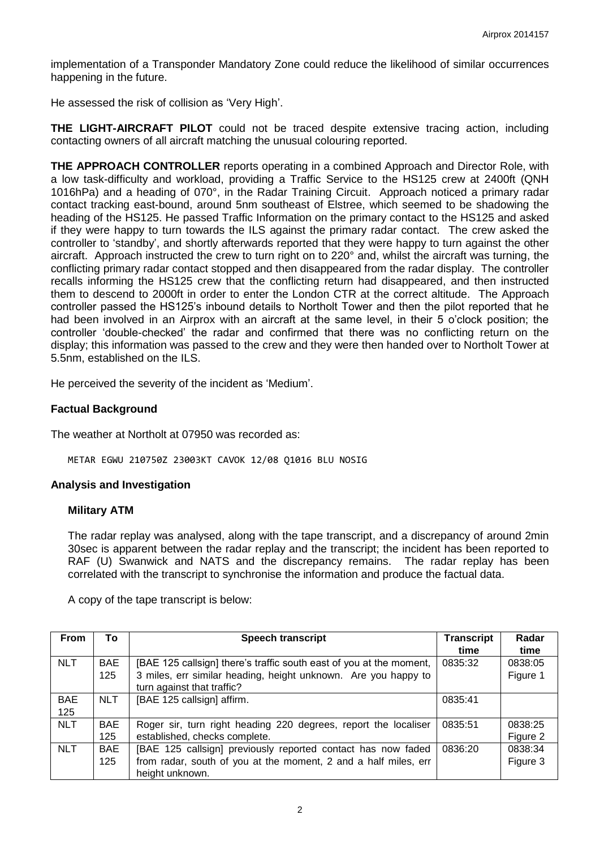implementation of a Transponder Mandatory Zone could reduce the likelihood of similar occurrences happening in the future.

He assessed the risk of collision as 'Very High'.

**THE LIGHT-AIRCRAFT PILOT** could not be traced despite extensive tracing action, including contacting owners of all aircraft matching the unusual colouring reported.

**THE APPROACH CONTROLLER** reports operating in a combined Approach and Director Role, with a low task-difficulty and workload, providing a Traffic Service to the HS125 crew at 2400ft (QNH 1016hPa) and a heading of 070°, in the Radar Training Circuit. Approach noticed a primary radar contact tracking east-bound, around 5nm southeast of Elstree, which seemed to be shadowing the heading of the HS125. He passed Traffic Information on the primary contact to the HS125 and asked if they were happy to turn towards the ILS against the primary radar contact. The crew asked the controller to 'standby', and shortly afterwards reported that they were happy to turn against the other aircraft. Approach instructed the crew to turn right on to 220° and, whilst the aircraft was turning, the conflicting primary radar contact stopped and then disappeared from the radar display. The controller recalls informing the HS125 crew that the conflicting return had disappeared, and then instructed them to descend to 2000ft in order to enter the London CTR at the correct altitude. The Approach controller passed the HS125's inbound details to Northolt Tower and then the pilot reported that he had been involved in an Airprox with an aircraft at the same level, in their 5 o'clock position; the controller 'double-checked' the radar and confirmed that there was no conflicting return on the display; this information was passed to the crew and they were then handed over to Northolt Tower at 5.5nm, established on the ILS.

He perceived the severity of the incident as 'Medium'.

### **Factual Background**

The weather at Northolt at 07950 was recorded as:

METAR EGWU 210750Z 23003KT CAVOK 12/08 Q1016 BLU NOSIG

### **Analysis and Investigation**

#### **Military ATM**

The radar replay was analysed, along with the tape transcript, and a discrepancy of around 2min 30sec is apparent between the radar replay and the transcript; the incident has been reported to RAF (U) Swanwick and NATS and the discrepancy remains. The radar replay has been correlated with the transcript to synchronise the information and produce the factual data.

A copy of the tape transcript is below:

| <b>From</b> | To         | <b>Speech transcript</b>                                            | <b>Transcript</b> | Radar    |
|-------------|------------|---------------------------------------------------------------------|-------------------|----------|
|             |            |                                                                     | time              | time     |
| <b>NLT</b>  | <b>BAE</b> | [BAE 125 callsign] there's traffic south east of you at the moment, | 0835:32           | 0838:05  |
|             | 125        | 3 miles, err similar heading, height unknown. Are you happy to      |                   | Figure 1 |
|             |            | turn against that traffic?                                          |                   |          |
| <b>BAE</b>  | <b>NLT</b> | [BAE 125 callsign] affirm.                                          | 0835:41           |          |
| 125         |            |                                                                     |                   |          |
| <b>NLT</b>  | <b>BAE</b> | Roger sir, turn right heading 220 degrees, report the localiser     | 0835:51           | 0838:25  |
|             | 125        | established, checks complete.                                       |                   | Figure 2 |
| <b>NLT</b>  | <b>BAE</b> | [BAE 125 callsign] previously reported contact has now faded        | 0836:20           | 0838:34  |
|             | 125        | from radar, south of you at the moment, 2 and a half miles, err     |                   | Figure 3 |
|             |            | height unknown.                                                     |                   |          |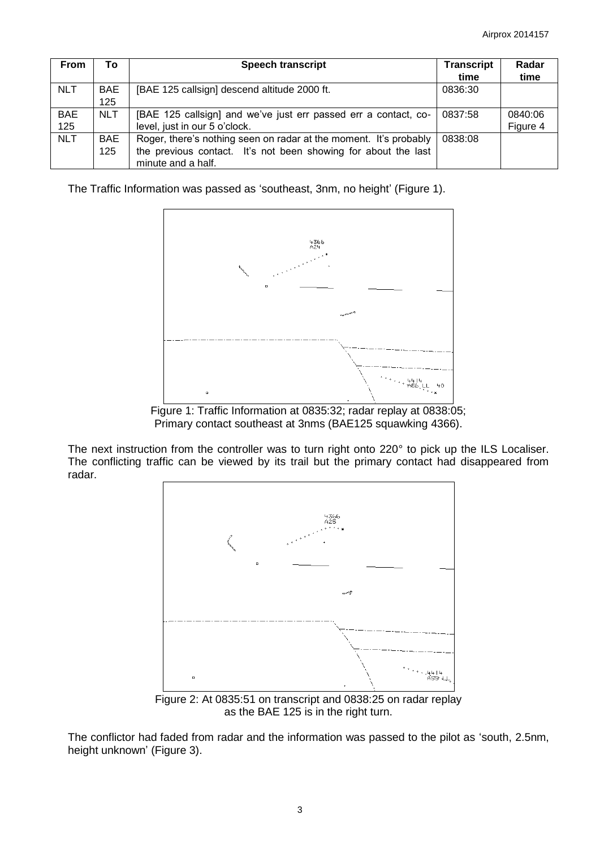| <b>From</b>       | То                | <b>Speech transcript</b>                                                                                                                                  | <b>Transcript</b><br>time | Radar<br>time       |
|-------------------|-------------------|-----------------------------------------------------------------------------------------------------------------------------------------------------------|---------------------------|---------------------|
| <b>NLT</b>        | <b>BAE</b><br>125 | [BAE 125 callsign] descend altitude 2000 ft.                                                                                                              | 0836:30                   |                     |
| <b>BAE</b><br>125 | <b>NLT</b>        | [BAE 125 callsign] and we've just err passed err a contact, co-<br>level, just in our 5 o'clock.                                                          | 0837:58                   | 0840:06<br>Figure 4 |
| <b>NLT</b>        | <b>BAE</b><br>125 | Roger, there's nothing seen on radar at the moment. It's probably<br>the previous contact. It's not been showing for about the last<br>minute and a half. | 0838:08                   |                     |

The Traffic Information was passed as 'southeast, 3nm, no height' (Figure 1).



Figure 1: Traffic Information at 0835:32; radar replay at 0838:05; Primary contact southeast at 3nms (BAE125 squawking 4366).

The next instruction from the controller was to turn right onto 220° to pick up the ILS Localiser. The conflicting traffic can be viewed by its trail but the primary contact had disappeared from radar.



Figure 2: At 0835:51 on transcript and 0838:25 on radar replay as the BAE 125 is in the right turn.

The conflictor had faded from radar and the information was passed to the pilot as 'south, 2.5nm, height unknown' (Figure 3).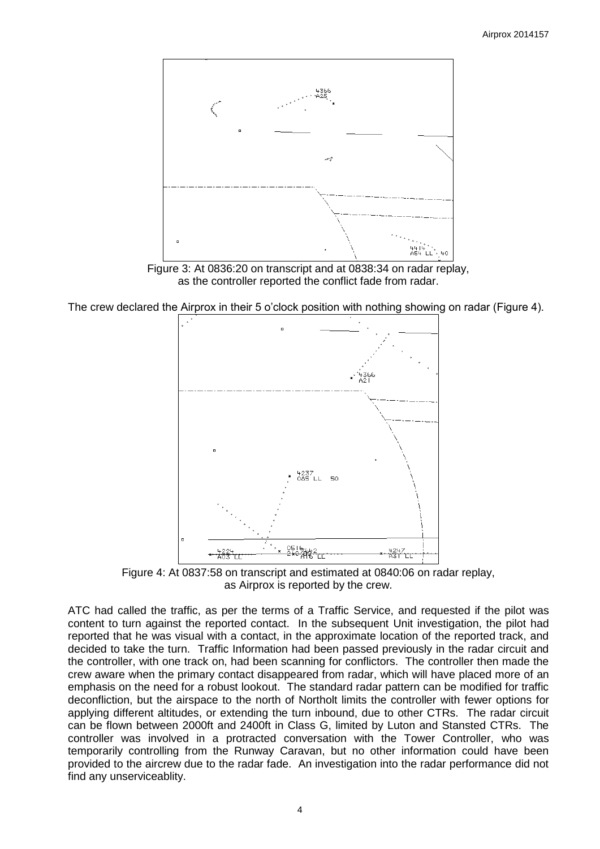

Figure 3: At 0836:20 on transcript and at 0838:34 on radar replay, as the controller reported the conflict fade from radar.

The crew declared the Airprox in their 5 o'clock position with nothing showing on radar (Figure 4).



Figure 4: At 0837:58 on transcript and estimated at 0840:06 on radar replay, as Airprox is reported by the crew.

ATC had called the traffic, as per the terms of a Traffic Service, and requested if the pilot was content to turn against the reported contact. In the subsequent Unit investigation, the pilot had reported that he was visual with a contact, in the approximate location of the reported track, and decided to take the turn. Traffic Information had been passed previously in the radar circuit and the controller, with one track on, had been scanning for conflictors. The controller then made the crew aware when the primary contact disappeared from radar, which will have placed more of an emphasis on the need for a robust lookout. The standard radar pattern can be modified for traffic deconfliction, but the airspace to the north of Northolt limits the controller with fewer options for applying different altitudes, or extending the turn inbound, due to other CTRs. The radar circuit can be flown between 2000ft and 2400ft in Class G, limited by Luton and Stansted CTRs. The controller was involved in a protracted conversation with the Tower Controller, who was temporarily controlling from the Runway Caravan, but no other information could have been provided to the aircrew due to the radar fade. An investigation into the radar performance did not find any unserviceablity.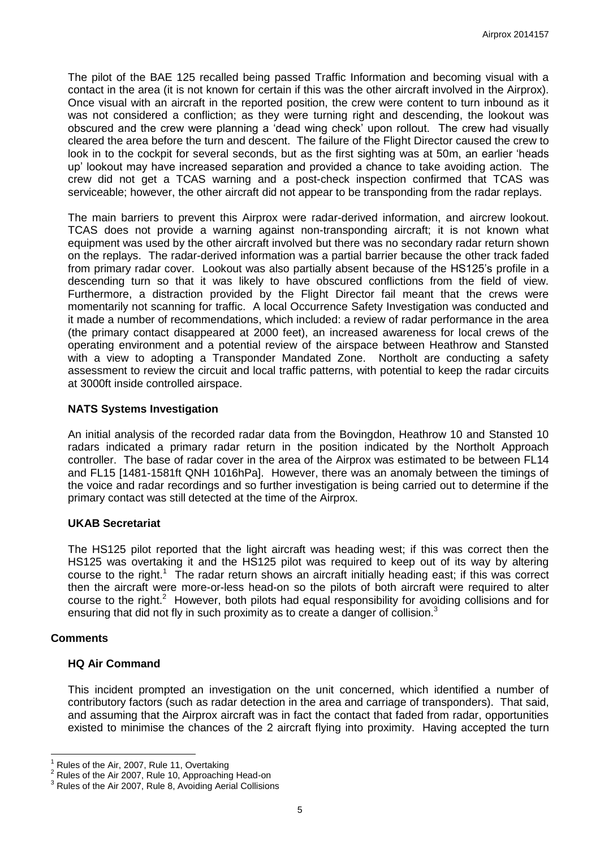The pilot of the BAE 125 recalled being passed Traffic Information and becoming visual with a contact in the area (it is not known for certain if this was the other aircraft involved in the Airprox). Once visual with an aircraft in the reported position, the crew were content to turn inbound as it was not considered a confliction; as they were turning right and descending, the lookout was obscured and the crew were planning a 'dead wing check' upon rollout. The crew had visually cleared the area before the turn and descent. The failure of the Flight Director caused the crew to look in to the cockpit for several seconds, but as the first sighting was at 50m, an earlier 'heads up' lookout may have increased separation and provided a chance to take avoiding action. The crew did not get a TCAS warning and a post-check inspection confirmed that TCAS was serviceable; however, the other aircraft did not appear to be transponding from the radar replays.

The main barriers to prevent this Airprox were radar-derived information, and aircrew lookout. TCAS does not provide a warning against non-transponding aircraft; it is not known what equipment was used by the other aircraft involved but there was no secondary radar return shown on the replays. The radar-derived information was a partial barrier because the other track faded from primary radar cover. Lookout was also partially absent because of the HS125's profile in a descending turn so that it was likely to have obscured conflictions from the field of view. Furthermore, a distraction provided by the Flight Director fail meant that the crews were momentarily not scanning for traffic. A local Occurrence Safety Investigation was conducted and it made a number of recommendations, which included: a review of radar performance in the area (the primary contact disappeared at 2000 feet), an increased awareness for local crews of the operating environment and a potential review of the airspace between Heathrow and Stansted with a view to adopting a Transponder Mandated Zone. Northolt are conducting a safety assessment to review the circuit and local traffic patterns, with potential to keep the radar circuits at 3000ft inside controlled airspace.

## **NATS Systems Investigation**

An initial analysis of the recorded radar data from the Bovingdon, Heathrow 10 and Stansted 10 radars indicated a primary radar return in the position indicated by the Northolt Approach controller. The base of radar cover in the area of the Airprox was estimated to be between FL14 and FL15 [1481-1581ft QNH 1016hPa]. However, there was an anomaly between the timings of the voice and radar recordings and so further investigation is being carried out to determine if the primary contact was still detected at the time of the Airprox.

### **UKAB Secretariat**

The HS125 pilot reported that the light aircraft was heading west; if this was correct then the HS125 was overtaking it and the HS125 pilot was required to keep out of its way by altering course to the right.<sup>1</sup> The radar return shows an aircraft initially heading east; if this was correct then the aircraft were more-or-less head-on so the pilots of both aircraft were required to alter course to the right.<sup>2</sup> However, both pilots had equal responsibility for avoiding collisions and for ensuring that did not fly in such proximity as to create a danger of collision.<sup>3</sup>

### **Comments**

## **HQ Air Command**

This incident prompted an investigation on the unit concerned, which identified a number of contributory factors (such as radar detection in the area and carriage of transponders). That said, and assuming that the Airprox aircraft was in fact the contact that faded from radar, opportunities existed to minimise the chances of the 2 aircraft flying into proximity. Having accepted the turn

 $\overline{a}$ Rules of the Air, 2007, Rule 11, Overtaking

Rules of the Air 2007, Rule 10, Approaching Head-on

 $3$  Rules of the Air 2007, Rule 8, Avoiding Aerial Collisions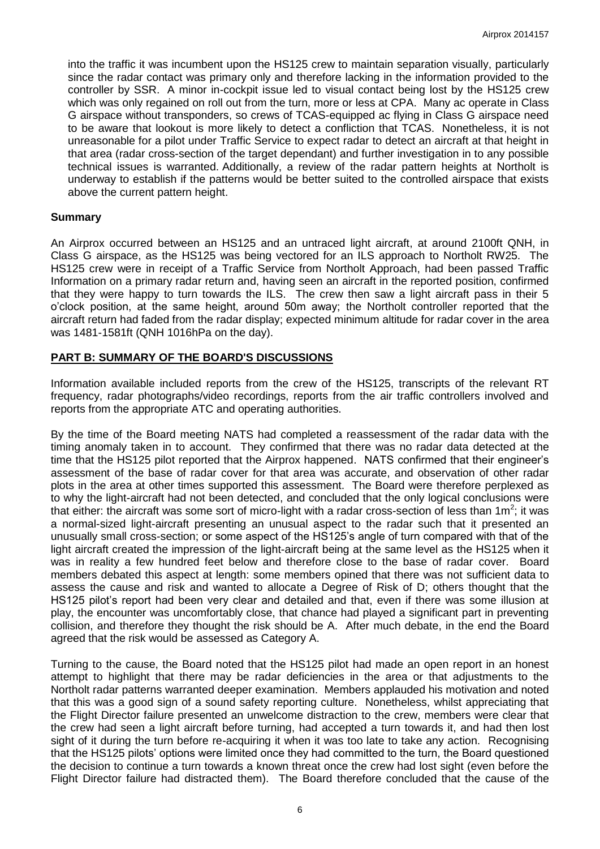into the traffic it was incumbent upon the HS125 crew to maintain separation visually, particularly since the radar contact was primary only and therefore lacking in the information provided to the controller by SSR. A minor in-cockpit issue led to visual contact being lost by the HS125 crew which was only regained on roll out from the turn, more or less at CPA. Many ac operate in Class G airspace without transponders, so crews of TCAS-equipped ac flying in Class G airspace need to be aware that lookout is more likely to detect a confliction that TCAS. Nonetheless, it is not unreasonable for a pilot under Traffic Service to expect radar to detect an aircraft at that height in that area (radar cross-section of the target dependant) and further investigation in to any possible technical issues is warranted. Additionally, a review of the radar pattern heights at Northolt is underway to establish if the patterns would be better suited to the controlled airspace that exists above the current pattern height.

## **Summary**

An Airprox occurred between an HS125 and an untraced light aircraft, at around 2100ft QNH, in Class G airspace, as the HS125 was being vectored for an ILS approach to Northolt RW25. The HS125 crew were in receipt of a Traffic Service from Northolt Approach, had been passed Traffic Information on a primary radar return and, having seen an aircraft in the reported position, confirmed that they were happy to turn towards the ILS. The crew then saw a light aircraft pass in their 5 o'clock position, at the same height, around 50m away; the Northolt controller reported that the aircraft return had faded from the radar display; expected minimum altitude for radar cover in the area was 1481-1581ft (QNH 1016hPa on the day).

# **PART B: SUMMARY OF THE BOARD'S DISCUSSIONS**

Information available included reports from the crew of the HS125, transcripts of the relevant RT frequency, radar photographs/video recordings, reports from the air traffic controllers involved and reports from the appropriate ATC and operating authorities.

By the time of the Board meeting NATS had completed a reassessment of the radar data with the timing anomaly taken in to account. They confirmed that there was no radar data detected at the time that the HS125 pilot reported that the Airprox happened. NATS confirmed that their engineer's assessment of the base of radar cover for that area was accurate, and observation of other radar plots in the area at other times supported this assessment. The Board were therefore perplexed as to why the light-aircraft had not been detected, and concluded that the only logical conclusions were that either: the aircraft was some sort of micro-light with a radar cross-section of less than 1m<sup>2</sup>; it was a normal-sized light-aircraft presenting an unusual aspect to the radar such that it presented an unusually small cross-section; or some aspect of the HS125's angle of turn compared with that of the light aircraft created the impression of the light-aircraft being at the same level as the HS125 when it was in reality a few hundred feet below and therefore close to the base of radar cover. Board members debated this aspect at length: some members opined that there was not sufficient data to assess the cause and risk and wanted to allocate a Degree of Risk of D; others thought that the HS125 pilot's report had been very clear and detailed and that, even if there was some illusion at play, the encounter was uncomfortably close, that chance had played a significant part in preventing collision, and therefore they thought the risk should be A. After much debate, in the end the Board agreed that the risk would be assessed as Category A.

Turning to the cause, the Board noted that the HS125 pilot had made an open report in an honest attempt to highlight that there may be radar deficiencies in the area or that adjustments to the Northolt radar patterns warranted deeper examination. Members applauded his motivation and noted that this was a good sign of a sound safety reporting culture. Nonetheless, whilst appreciating that the Flight Director failure presented an unwelcome distraction to the crew, members were clear that the crew had seen a light aircraft before turning, had accepted a turn towards it, and had then lost sight of it during the turn before re-acquiring it when it was too late to take any action. Recognising that the HS125 pilots' options were limited once they had committed to the turn, the Board questioned the decision to continue a turn towards a known threat once the crew had lost sight (even before the Flight Director failure had distracted them). The Board therefore concluded that the cause of the